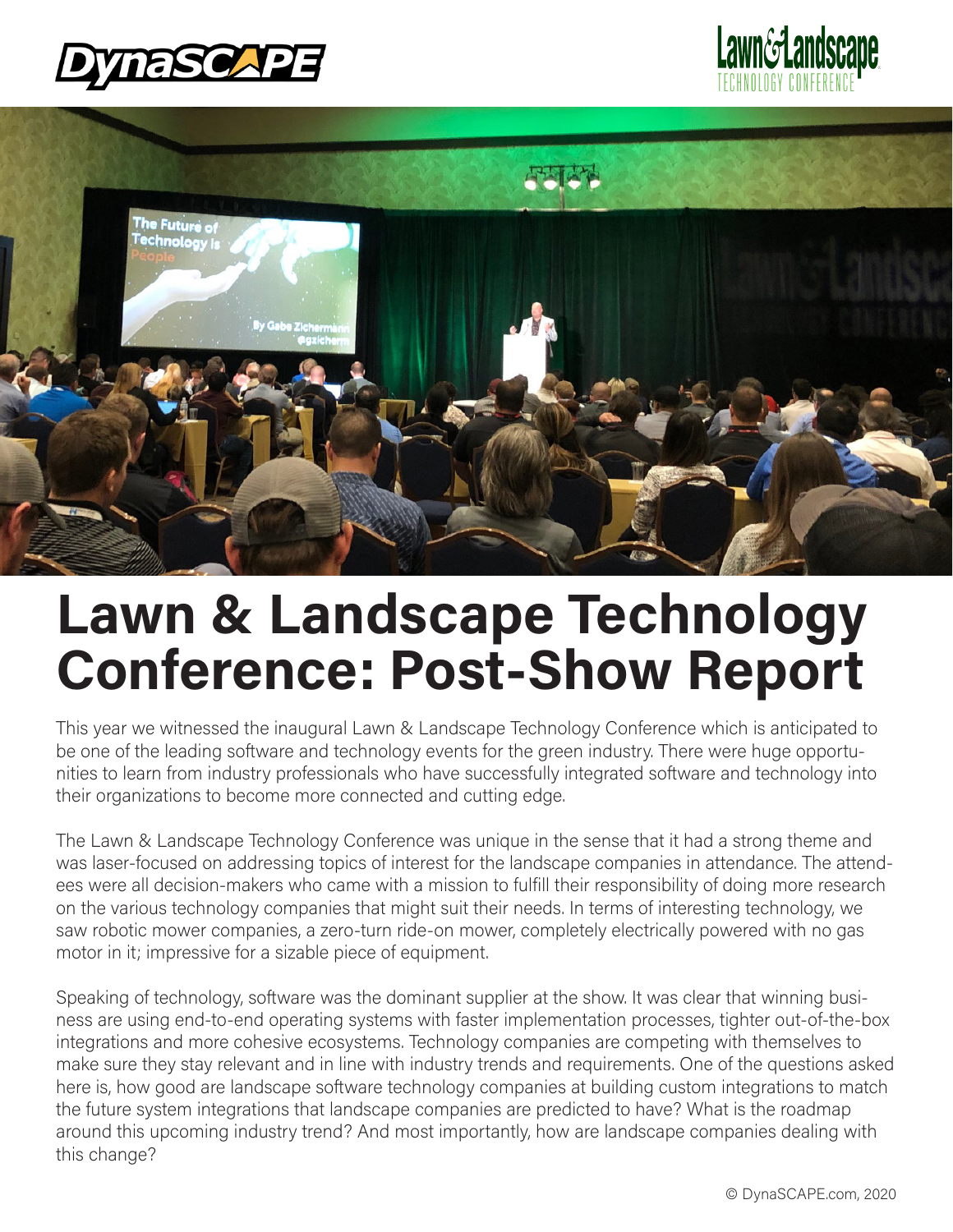





# **Lawn & Landscape Technology Conference: Post-Show Report**

This year we witnessed the inaugural Lawn & Landscape Technology Conference which is anticipated to be one of the leading software and technology events for the green industry. There were huge opportunities to learn from industry professionals who have successfully integrated software and technology into their organizations to become more connected and cutting edge.

The Lawn & Landscape Technology Conference was unique in the sense that it had a strong theme and was laser-focused on addressing topics of interest for the landscape companies in attendance. The attendees were all decision-makers who came with a mission to fulfill their responsibility of doing more research on the various technology companies that might suit their needs. In terms of interesting technology, we saw robotic mower companies, a zero-turn ride-on mower, completely electrically powered with no gas motor in it; impressive for a sizable piece of equipment.

Speaking of technology, software was the dominant supplier at the show. It was clear that winning business are using end-to-end operating systems with faster implementation processes, tighter out-of-the-box integrations and more cohesive ecosystems. Technology companies are competing with themselves to make sure they stay relevant and in line with industry trends and requirements. One of the questions asked here is, how good are landscape software technology companies at building custom integrations to match the future system integrations that landscape companies are predicted to have? What is the roadmap around this upcoming industry trend? And most importantly, how are landscape companies dealing with this change?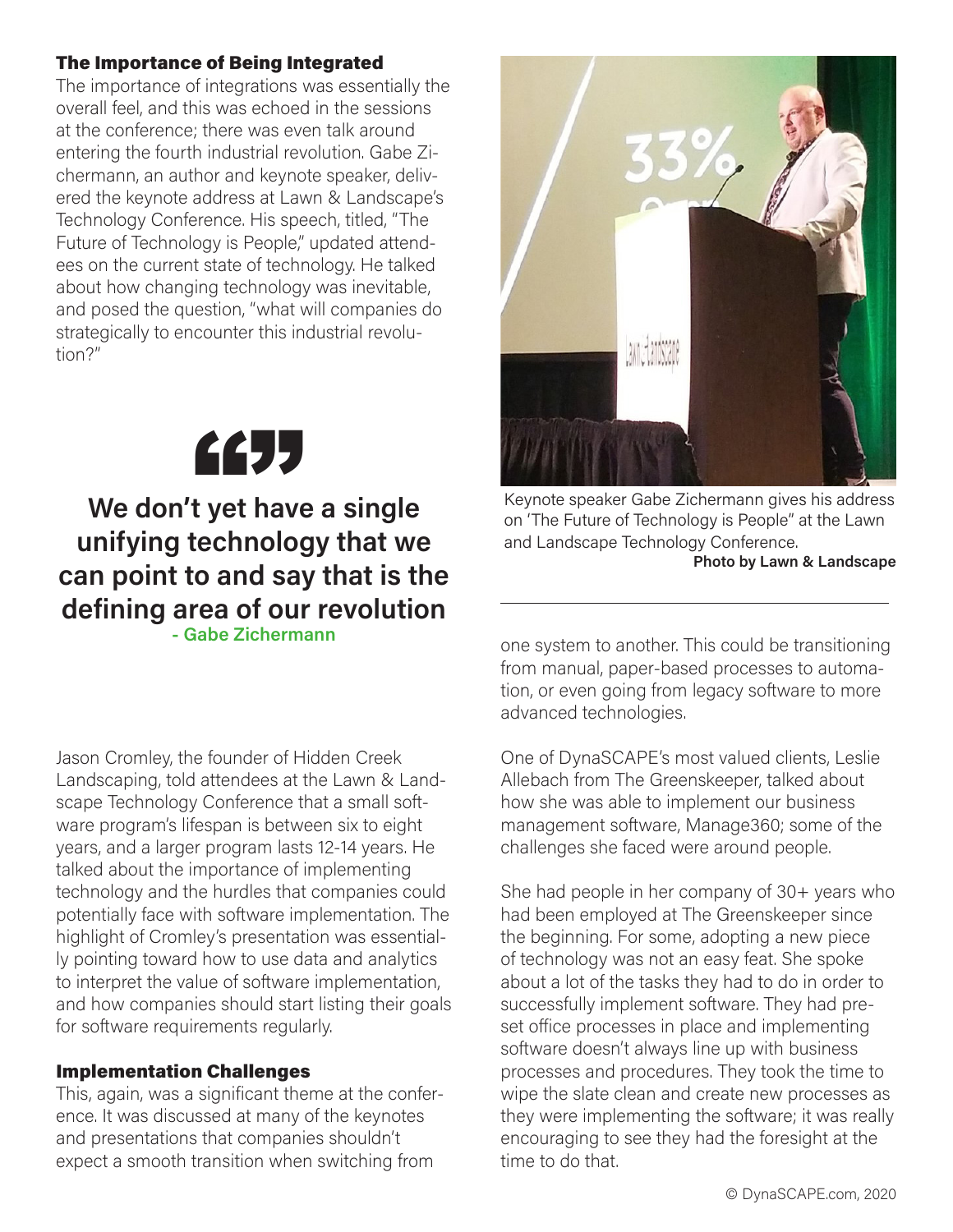#### The Importance of Being Integrated

The importance of integrations was essentially the overall feel, and this was echoed in the sessions at the conference; there was even talk around entering the fourth industrial revolution. Gabe Zichermann, an author and keynote speaker, delivered the keynote address at Lawn & Landscape's Technology Conference. His speech, titled, "The Future of Technology is People," updated attendees on the current state of technology. He talked about how changing technology was inevitable, and posed the question, "what will companies do strategically to encounter this industrial revolution?"



# **We don't yet have a single unifying technology that we can point to and say that is the defining area of our revolution - Gabe Zichermann**

Jason Cromley, the founder of Hidden Creek Landscaping, told attendees at the Lawn & Landscape Technology Conference that a small software program's lifespan is between six to eight years, and a larger program lasts 12-14 years. He talked about the importance of implementing technology and the hurdles that companies could potentially face with software implementation. The highlight of Cromley's presentation was essentially pointing toward how to use data and analytics to interpret the value of software implementation, and how companies should start listing their goals for software requirements regularly.

## Implementation Challenges

This, again, was a significant theme at the conference. It was discussed at many of the keynotes and presentations that companies shouldn't expect a smooth transition when switching from



Keynote speaker Gabe Zichermann gives his address on 'The Future of Technology is People" at the Lawn and Landscape Technology Conference. **Photo by Lawn & Landscape**

one system to another. This could be transitioning from manual, paper-based processes to automation, or even going from legacy software to more advanced technologies.

One of DynaSCAPE's most valued clients, Leslie Allebach from The Greenskeeper, talked about how she was able to implement our business management software, Manage360; some of the challenges she faced were around people.

She had people in her company of 30+ years who had been employed at The Greenskeeper since the beginning. For some, adopting a new piece of technology was not an easy feat. She spoke about a lot of the tasks they had to do in order to successfully implement software. They had preset office processes in place and implementing software doesn't always line up with business processes and procedures. They took the time to wipe the slate clean and create new processes as they were implementing the software; it was really encouraging to see they had the foresight at the time to do that.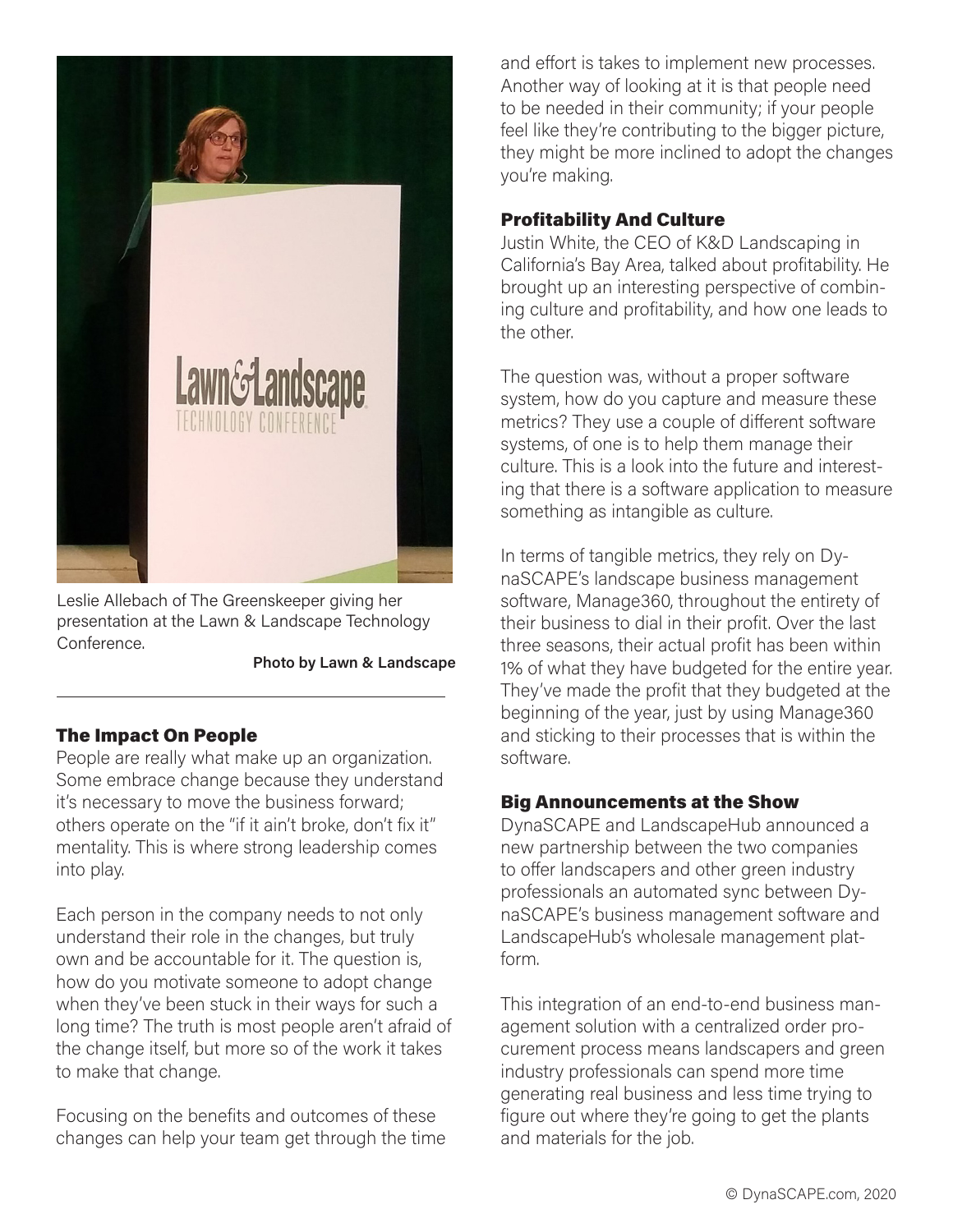

Leslie Allebach of The Greenskeeper giving her presentation at the Lawn & Landscape Technology Conference.

**Photo by Lawn & Landscape**

#### The Impact On People

People are really what make up an organization. Some embrace change because they understand it's necessary to move the business forward; others operate on the "if it ain't broke, don't fix it" mentality. This is where strong leadership comes into play.

Each person in the company needs to not only understand their role in the changes, but truly own and be accountable for it. The question is, how do you motivate someone to adopt change when they've been stuck in their ways for such a long time? The truth is most people aren't afraid of the change itself, but more so of the work it takes to make that change.

Focusing on the benefits and outcomes of these changes can help your team get through the time and effort is takes to implement new processes. Another way of looking at it is that people need to be needed in their community; if your people feel like they're contributing to the bigger picture, they might be more inclined to adopt the changes you're making.

#### Profitability And Culture

Justin White, the CEO of K&D Landscaping in California's Bay Area, talked about profitability. He brought up an interesting perspective of combining culture and profitability, and how one leads to the other.

The question was, without a proper software system, how do you capture and measure these metrics? They use a couple of different software systems, of one is to help them manage their culture. This is a look into the future and interesting that there is a software application to measure something as intangible as culture.

In terms of tangible metrics, they rely on DynaSCAPE's landscape business management software, Manage360, throughout the entirety of their business to dial in their profit. Over the last three seasons, their actual profit has been within 1% of what they have budgeted for the entire year. They've made the profit that they budgeted at the beginning of the year, just by using Manage360 and sticking to their processes that is within the software.

#### Big Announcements at the Show

DynaSCAPE and LandscapeHub announced a new partnership between the two companies to offer landscapers and other green industry professionals an automated sync between DynaSCAPE's business management software and LandscapeHub's wholesale management platform.

This integration of an end-to-end business management solution with a centralized order procurement process means landscapers and green industry professionals can spend more time generating real business and less time trying to figure out where they're going to get the plants and materials for the job.